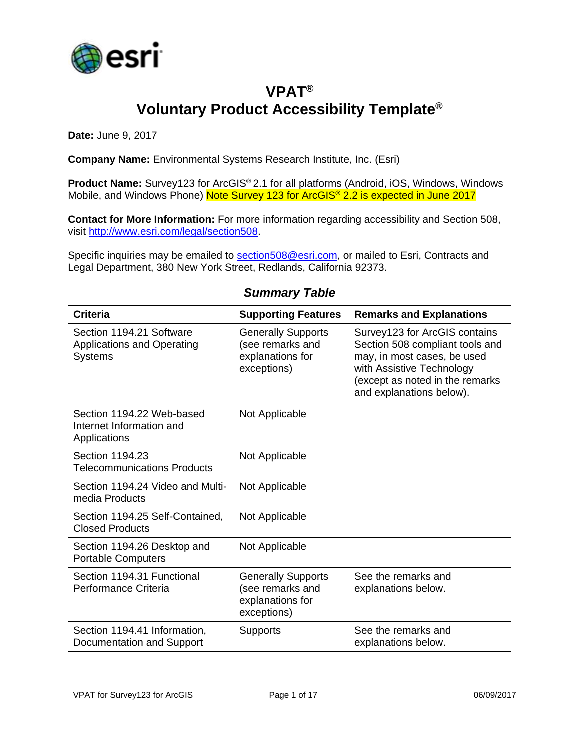

## **VPAT® Voluntary Product Accessibility Template®**

**Date:** June 9, 2017

**Company Name:** Environmental Systems Research Institute, Inc. (Esri)

**Product Name:** Survey123 for ArcGIS**®** 2.1 for all platforms (Android, iOS, Windows, Windows Mobile, and Windows Phone) Note Survey 123 for ArcGIS**®** 2.2 is expected in June 2017

**Contact for More Information:** For more information regarding accessibility and Section 508, visit [http://www.esri.com/legal/section508.](http://www.esri.com/legal/section508)

Specific inquiries may be emailed to [section508@esri.com,](mailto:section508@esri.com) or mailed to Esri, Contracts and Legal Department, 380 New York Street, Redlands, California 92373.

| <b>Criteria</b>                                                                 | <b>Supporting Features</b>                                                       | <b>Remarks and Explanations</b>                                                                                                                                                             |
|---------------------------------------------------------------------------------|----------------------------------------------------------------------------------|---------------------------------------------------------------------------------------------------------------------------------------------------------------------------------------------|
| Section 1194.21 Software<br><b>Applications and Operating</b><br><b>Systems</b> | <b>Generally Supports</b><br>(see remarks and<br>explanations for<br>exceptions) | Survey123 for ArcGIS contains<br>Section 508 compliant tools and<br>may, in most cases, be used<br>with Assistive Technology<br>(except as noted in the remarks<br>and explanations below). |
| Section 1194.22 Web-based<br>Internet Information and<br>Applications           | Not Applicable                                                                   |                                                                                                                                                                                             |
| Section 1194.23<br><b>Telecommunications Products</b>                           | Not Applicable                                                                   |                                                                                                                                                                                             |
| Section 1194.24 Video and Multi-<br>media Products                              | Not Applicable                                                                   |                                                                                                                                                                                             |
| Section 1194.25 Self-Contained,<br><b>Closed Products</b>                       | Not Applicable                                                                   |                                                                                                                                                                                             |
| Section 1194.26 Desktop and<br><b>Portable Computers</b>                        | Not Applicable                                                                   |                                                                                                                                                                                             |
| Section 1194.31 Functional<br>Performance Criteria                              | <b>Generally Supports</b><br>(see remarks and<br>explanations for<br>exceptions) | See the remarks and<br>explanations below.                                                                                                                                                  |
| Section 1194.41 Information,<br>Documentation and Support                       | <b>Supports</b>                                                                  | See the remarks and<br>explanations below.                                                                                                                                                  |

#### *Summary Table*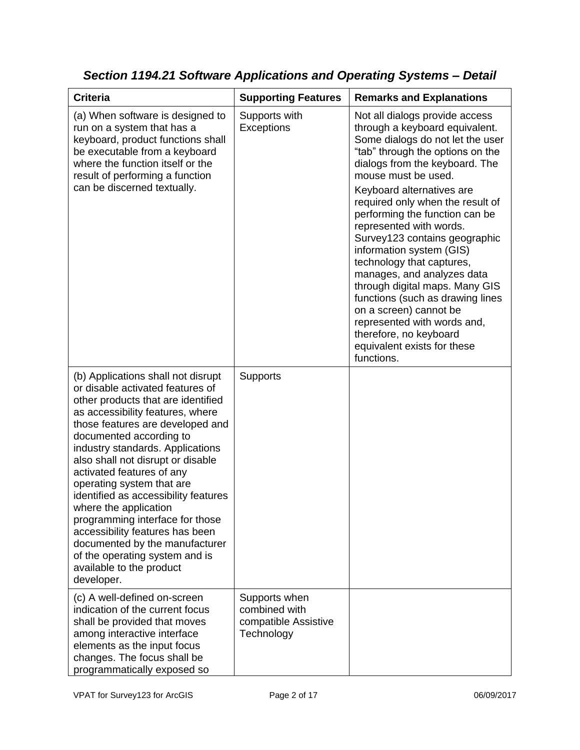| <b>Criteria</b>                                                                                                                                                                                                                                                                                                                                                                                                                                                                                                                                                                                         | <b>Supporting Features</b>                                           | <b>Remarks and Explanations</b>                                                                                                                                                                                                                                                                                                                                                                                                                                                                                                                                                                                                                               |
|---------------------------------------------------------------------------------------------------------------------------------------------------------------------------------------------------------------------------------------------------------------------------------------------------------------------------------------------------------------------------------------------------------------------------------------------------------------------------------------------------------------------------------------------------------------------------------------------------------|----------------------------------------------------------------------|---------------------------------------------------------------------------------------------------------------------------------------------------------------------------------------------------------------------------------------------------------------------------------------------------------------------------------------------------------------------------------------------------------------------------------------------------------------------------------------------------------------------------------------------------------------------------------------------------------------------------------------------------------------|
| (a) When software is designed to<br>run on a system that has a<br>keyboard, product functions shall<br>be executable from a keyboard<br>where the function itself or the<br>result of performing a function<br>can be discerned textually.                                                                                                                                                                                                                                                                                                                                                              | Supports with<br>Exceptions                                          | Not all dialogs provide access<br>through a keyboard equivalent.<br>Some dialogs do not let the user<br>"tab" through the options on the<br>dialogs from the keyboard. The<br>mouse must be used.<br>Keyboard alternatives are<br>required only when the result of<br>performing the function can be<br>represented with words.<br>Survey123 contains geographic<br>information system (GIS)<br>technology that captures,<br>manages, and analyzes data<br>through digital maps. Many GIS<br>functions (such as drawing lines<br>on a screen) cannot be<br>represented with words and,<br>therefore, no keyboard<br>equivalent exists for these<br>functions. |
| (b) Applications shall not disrupt<br>or disable activated features of<br>other products that are identified<br>as accessibility features, where<br>those features are developed and<br>documented according to<br>industry standards. Applications<br>also shall not disrupt or disable<br>activated features of any<br>operating system that are<br>identified as accessibility features<br>where the application<br>programming interface for those<br>accessibility features has been<br>documented by the manufacturer<br>of the operating system and is<br>available to the product<br>developer. | <b>Supports</b>                                                      |                                                                                                                                                                                                                                                                                                                                                                                                                                                                                                                                                                                                                                                               |
| (c) A well-defined on-screen<br>indication of the current focus<br>shall be provided that moves<br>among interactive interface<br>elements as the input focus<br>changes. The focus shall be<br>programmatically exposed so                                                                                                                                                                                                                                                                                                                                                                             | Supports when<br>combined with<br>compatible Assistive<br>Technology |                                                                                                                                                                                                                                                                                                                                                                                                                                                                                                                                                                                                                                                               |

*Section 1194.21 Software Applications and Operating Systems – Detail*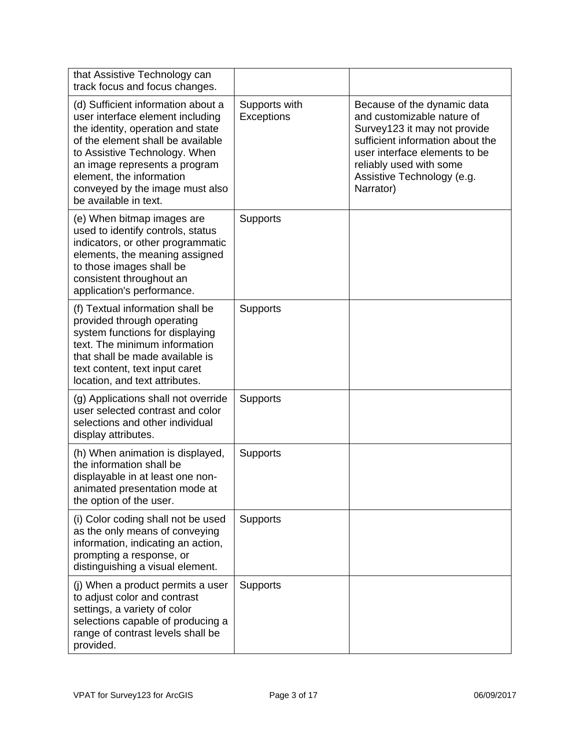| that Assistive Technology can<br>track focus and focus changes.                                                                                                                                                                                                                                            |                             |                                                                                                                                                                                                                                      |
|------------------------------------------------------------------------------------------------------------------------------------------------------------------------------------------------------------------------------------------------------------------------------------------------------------|-----------------------------|--------------------------------------------------------------------------------------------------------------------------------------------------------------------------------------------------------------------------------------|
| (d) Sufficient information about a<br>user interface element including<br>the identity, operation and state<br>of the element shall be available<br>to Assistive Technology. When<br>an image represents a program<br>element, the information<br>conveyed by the image must also<br>be available in text. | Supports with<br>Exceptions | Because of the dynamic data<br>and customizable nature of<br>Survey123 it may not provide<br>sufficient information about the<br>user interface elements to be<br>reliably used with some<br>Assistive Technology (e.g.<br>Narrator) |
| (e) When bitmap images are<br>used to identify controls, status<br>indicators, or other programmatic<br>elements, the meaning assigned<br>to those images shall be<br>consistent throughout an<br>application's performance.                                                                               | Supports                    |                                                                                                                                                                                                                                      |
| (f) Textual information shall be<br>provided through operating<br>system functions for displaying<br>text. The minimum information<br>that shall be made available is<br>text content, text input caret<br>location, and text attributes.                                                                  | Supports                    |                                                                                                                                                                                                                                      |
| (g) Applications shall not override<br>user selected contrast and color<br>selections and other individual<br>display attributes.                                                                                                                                                                          | Supports                    |                                                                                                                                                                                                                                      |
| (h) When animation is displayed,<br>the information shall be<br>displayable in at least one non-<br>animated presentation mode at<br>the option of the user.                                                                                                                                               | Supports                    |                                                                                                                                                                                                                                      |
| (i) Color coding shall not be used<br>as the only means of conveying<br>information, indicating an action,<br>prompting a response, or<br>distinguishing a visual element.                                                                                                                                 | <b>Supports</b>             |                                                                                                                                                                                                                                      |
| (j) When a product permits a user<br>to adjust color and contrast<br>settings, a variety of color<br>selections capable of producing a<br>range of contrast levels shall be<br>provided.                                                                                                                   | <b>Supports</b>             |                                                                                                                                                                                                                                      |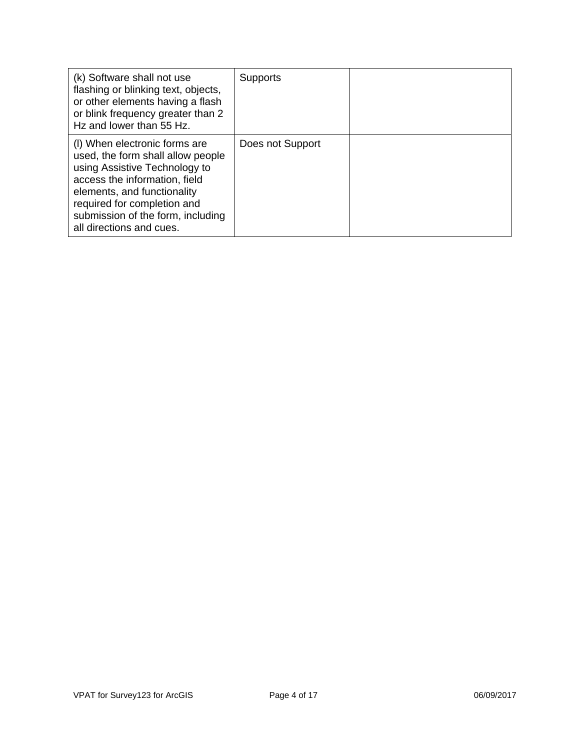| (k) Software shall not use<br>flashing or blinking text, objects,<br>or other elements having a flash<br>or blink frequency greater than 2<br>Hz and lower than 55 Hz.                                                                                              | <b>Supports</b>  |  |
|---------------------------------------------------------------------------------------------------------------------------------------------------------------------------------------------------------------------------------------------------------------------|------------------|--|
| (I) When electronic forms are<br>used, the form shall allow people<br>using Assistive Technology to<br>access the information, field<br>elements, and functionality<br>required for completion and<br>submission of the form, including<br>all directions and cues. | Does not Support |  |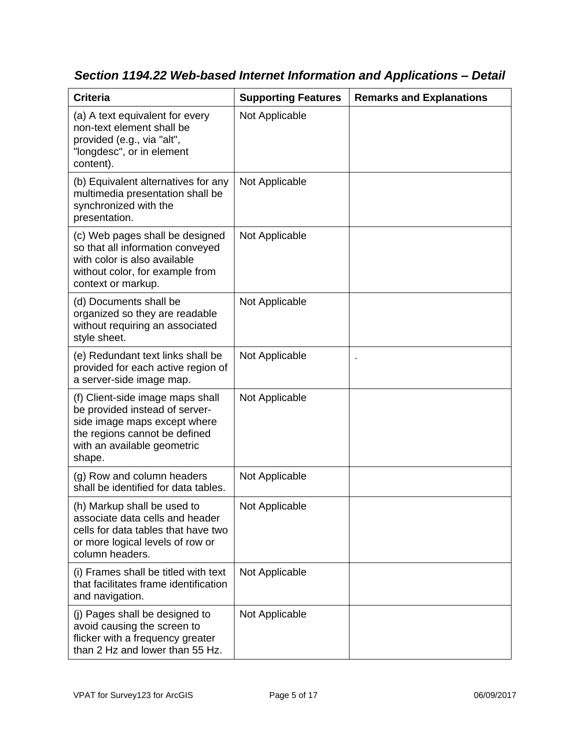| <b>Criteria</b>                                                                                                                                                              | <b>Supporting Features</b> | <b>Remarks and Explanations</b> |
|------------------------------------------------------------------------------------------------------------------------------------------------------------------------------|----------------------------|---------------------------------|
| (a) A text equivalent for every<br>non-text element shall be<br>provided (e.g., via "alt",<br>"longdesc", or in element<br>content).                                         | Not Applicable             |                                 |
| (b) Equivalent alternatives for any<br>multimedia presentation shall be<br>synchronized with the<br>presentation.                                                            | Not Applicable             |                                 |
| (c) Web pages shall be designed<br>so that all information conveyed<br>with color is also available<br>without color, for example from<br>context or markup.                 | Not Applicable             |                                 |
| (d) Documents shall be<br>organized so they are readable<br>without requiring an associated<br>style sheet.                                                                  | Not Applicable             |                                 |
| (e) Redundant text links shall be<br>provided for each active region of<br>a server-side image map.                                                                          | Not Applicable             |                                 |
| (f) Client-side image maps shall<br>be provided instead of server-<br>side image maps except where<br>the regions cannot be defined<br>with an available geometric<br>shape. | Not Applicable             |                                 |
| (g) Row and column headers<br>shall be identified for data tables.                                                                                                           | Not Applicable             |                                 |
| (h) Markup shall be used to<br>associate data cells and header<br>cells for data tables that have two<br>or more logical levels of row or<br>column headers.                 | Not Applicable             |                                 |
| (i) Frames shall be titled with text<br>that facilitates frame identification<br>and navigation.                                                                             | Not Applicable             |                                 |
| (j) Pages shall be designed to<br>avoid causing the screen to<br>flicker with a frequency greater<br>than 2 Hz and lower than 55 Hz.                                         | Not Applicable             |                                 |

*Section 1194.22 Web-based Internet Information and Applications – Detail*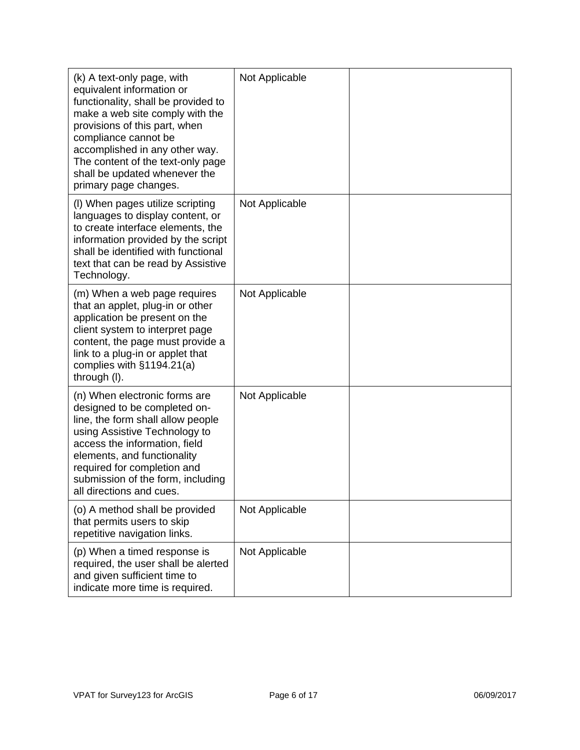| (k) A text-only page, with<br>equivalent information or<br>functionality, shall be provided to<br>make a web site comply with the<br>provisions of this part, when<br>compliance cannot be<br>accomplished in any other way.<br>The content of the text-only page<br>shall be updated whenever the<br>primary page changes. | Not Applicable |  |
|-----------------------------------------------------------------------------------------------------------------------------------------------------------------------------------------------------------------------------------------------------------------------------------------------------------------------------|----------------|--|
| (I) When pages utilize scripting<br>languages to display content, or<br>to create interface elements, the<br>information provided by the script<br>shall be identified with functional<br>text that can be read by Assistive<br>Technology.                                                                                 | Not Applicable |  |
| (m) When a web page requires<br>that an applet, plug-in or other<br>application be present on the<br>client system to interpret page<br>content, the page must provide a<br>link to a plug-in or applet that<br>complies with $§1194.21(a)$<br>through (I).                                                                 | Not Applicable |  |
| (n) When electronic forms are<br>designed to be completed on-<br>line, the form shall allow people<br>using Assistive Technology to<br>access the information, field<br>elements, and functionality<br>required for completion and<br>submission of the form, including<br>all directions and cues.                         | Not Applicable |  |
| (o) A method shall be provided<br>that permits users to skip<br>repetitive navigation links.                                                                                                                                                                                                                                | Not Applicable |  |
| (p) When a timed response is<br>required, the user shall be alerted<br>and given sufficient time to<br>indicate more time is required.                                                                                                                                                                                      | Not Applicable |  |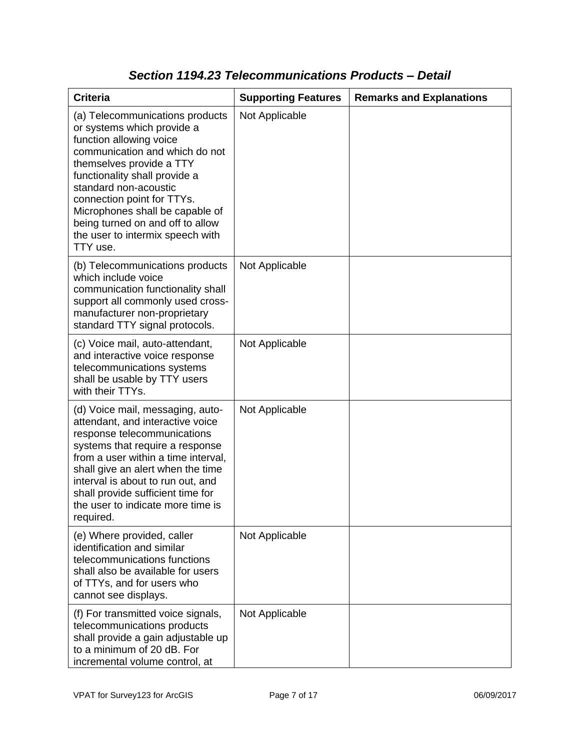| <b>Criteria</b>                                                                                                                                                                                                                                                                                                                                                       | <b>Supporting Features</b> | <b>Remarks and Explanations</b> |
|-----------------------------------------------------------------------------------------------------------------------------------------------------------------------------------------------------------------------------------------------------------------------------------------------------------------------------------------------------------------------|----------------------------|---------------------------------|
| (a) Telecommunications products<br>or systems which provide a<br>function allowing voice<br>communication and which do not<br>themselves provide a TTY<br>functionality shall provide a<br>standard non-acoustic<br>connection point for TTYs.<br>Microphones shall be capable of<br>being turned on and off to allow<br>the user to intermix speech with<br>TTY use. | Not Applicable             |                                 |
| (b) Telecommunications products<br>which include voice<br>communication functionality shall<br>support all commonly used cross-<br>manufacturer non-proprietary<br>standard TTY signal protocols.                                                                                                                                                                     | Not Applicable             |                                 |
| (c) Voice mail, auto-attendant,<br>and interactive voice response<br>telecommunications systems<br>shall be usable by TTY users<br>with their TTYs.                                                                                                                                                                                                                   | Not Applicable             |                                 |
| (d) Voice mail, messaging, auto-<br>attendant, and interactive voice<br>response telecommunications<br>systems that require a response<br>from a user within a time interval,<br>shall give an alert when the time<br>interval is about to run out, and<br>shall provide sufficient time for<br>the user to indicate more time is<br>required.                        | Not Applicable             |                                 |
| (e) Where provided, caller<br>identification and similar<br>telecommunications functions<br>shall also be available for users<br>of TTYs, and for users who<br>cannot see displays.                                                                                                                                                                                   | Not Applicable             |                                 |
| (f) For transmitted voice signals,<br>telecommunications products<br>shall provide a gain adjustable up<br>to a minimum of 20 dB. For<br>incremental volume control, at                                                                                                                                                                                               | Not Applicable             |                                 |

## *Section 1194.23 Telecommunications Products – Detail*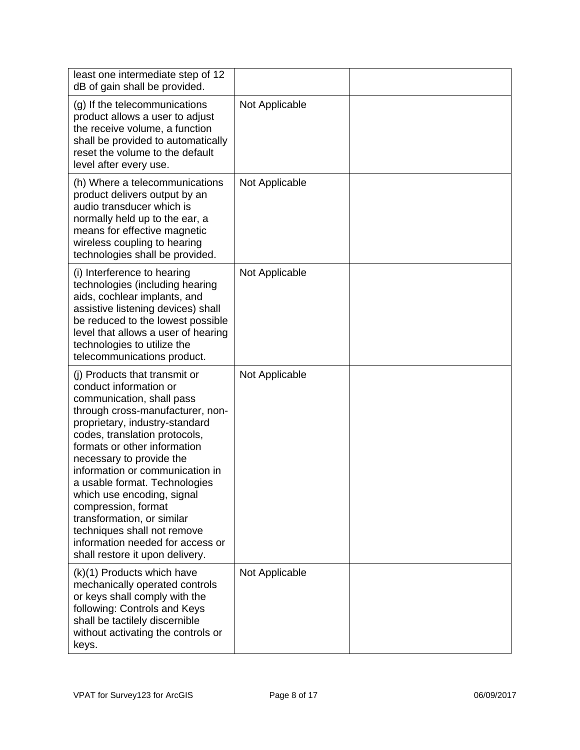| least one intermediate step of 12<br>dB of gain shall be provided.                                                                                                                                                                                                                                                                                                                                                                                                                                                   |                |  |
|----------------------------------------------------------------------------------------------------------------------------------------------------------------------------------------------------------------------------------------------------------------------------------------------------------------------------------------------------------------------------------------------------------------------------------------------------------------------------------------------------------------------|----------------|--|
| (g) If the telecommunications<br>product allows a user to adjust<br>the receive volume, a function<br>shall be provided to automatically<br>reset the volume to the default<br>level after every use.                                                                                                                                                                                                                                                                                                                | Not Applicable |  |
| (h) Where a telecommunications<br>product delivers output by an<br>audio transducer which is<br>normally held up to the ear, a<br>means for effective magnetic<br>wireless coupling to hearing<br>technologies shall be provided.                                                                                                                                                                                                                                                                                    | Not Applicable |  |
| (i) Interference to hearing<br>technologies (including hearing<br>aids, cochlear implants, and<br>assistive listening devices) shall<br>be reduced to the lowest possible<br>level that allows a user of hearing<br>technologies to utilize the<br>telecommunications product.                                                                                                                                                                                                                                       | Not Applicable |  |
| (i) Products that transmit or<br>conduct information or<br>communication, shall pass<br>through cross-manufacturer, non-<br>proprietary, industry-standard<br>codes, translation protocols,<br>formats or other information<br>necessary to provide the<br>information or communication in<br>a usable format. Technologies<br>which use encoding, signal<br>compression, format<br>transformation, or similar<br>techniques shall not remove<br>information needed for access or<br>shall restore it upon delivery. | Not Applicable |  |
| (k)(1) Products which have<br>mechanically operated controls<br>or keys shall comply with the<br>following: Controls and Keys<br>shall be tactilely discernible<br>without activating the controls or<br>keys.                                                                                                                                                                                                                                                                                                       | Not Applicable |  |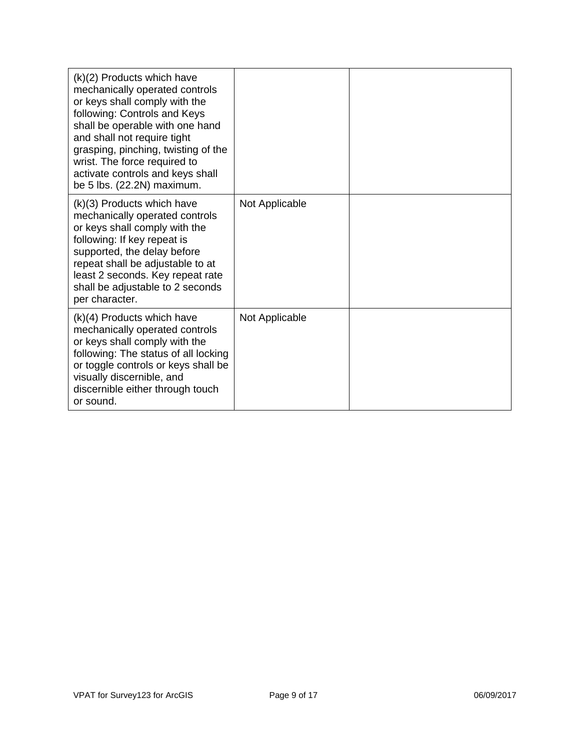| $(k)(2)$ Products which have<br>mechanically operated controls<br>or keys shall comply with the<br>following: Controls and Keys<br>shall be operable with one hand<br>and shall not require tight<br>grasping, pinching, twisting of the<br>wrist. The force required to<br>activate controls and keys shall<br>be $5$ lbs. $(22.2N)$ maximum. |                |  |
|------------------------------------------------------------------------------------------------------------------------------------------------------------------------------------------------------------------------------------------------------------------------------------------------------------------------------------------------|----------------|--|
| (k)(3) Products which have<br>mechanically operated controls<br>or keys shall comply with the<br>following: If key repeat is<br>supported, the delay before<br>repeat shall be adjustable to at<br>least 2 seconds. Key repeat rate<br>shall be adjustable to 2 seconds<br>per character.                                                      | Not Applicable |  |
| $(k)(4)$ Products which have<br>mechanically operated controls<br>or keys shall comply with the<br>following: The status of all locking<br>or toggle controls or keys shall be<br>visually discernible, and<br>discernible either through touch<br>or sound.                                                                                   | Not Applicable |  |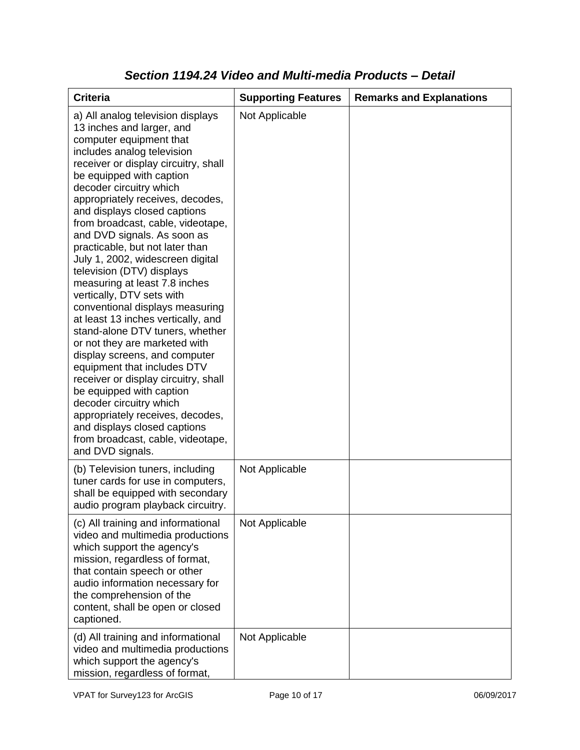| <b>Criteria</b>                                                                                                                                                                                                                                                                                                                                                                                                                                                                                                                                                                                                                                                                                                                                                                                                                                                                                                                                                           | <b>Supporting Features</b> | <b>Remarks and Explanations</b> |
|---------------------------------------------------------------------------------------------------------------------------------------------------------------------------------------------------------------------------------------------------------------------------------------------------------------------------------------------------------------------------------------------------------------------------------------------------------------------------------------------------------------------------------------------------------------------------------------------------------------------------------------------------------------------------------------------------------------------------------------------------------------------------------------------------------------------------------------------------------------------------------------------------------------------------------------------------------------------------|----------------------------|---------------------------------|
| a) All analog television displays<br>13 inches and larger, and<br>computer equipment that<br>includes analog television<br>receiver or display circuitry, shall<br>be equipped with caption<br>decoder circuitry which<br>appropriately receives, decodes,<br>and displays closed captions<br>from broadcast, cable, videotape,<br>and DVD signals. As soon as<br>practicable, but not later than<br>July 1, 2002, widescreen digital<br>television (DTV) displays<br>measuring at least 7.8 inches<br>vertically, DTV sets with<br>conventional displays measuring<br>at least 13 inches vertically, and<br>stand-alone DTV tuners, whether<br>or not they are marketed with<br>display screens, and computer<br>equipment that includes DTV<br>receiver or display circuitry, shall<br>be equipped with caption<br>decoder circuitry which<br>appropriately receives, decodes,<br>and displays closed captions<br>from broadcast, cable, videotape,<br>and DVD signals. | Not Applicable             |                                 |
| (b) Television tuners, including<br>tuner cards for use in computers,<br>shall be equipped with secondary<br>audio program playback circuitry.                                                                                                                                                                                                                                                                                                                                                                                                                                                                                                                                                                                                                                                                                                                                                                                                                            | Not Applicable             |                                 |
| (c) All training and informational<br>video and multimedia productions<br>which support the agency's<br>mission, regardless of format,<br>that contain speech or other<br>audio information necessary for<br>the comprehension of the<br>content, shall be open or closed<br>captioned.                                                                                                                                                                                                                                                                                                                                                                                                                                                                                                                                                                                                                                                                                   | Not Applicable             |                                 |
| (d) All training and informational<br>video and multimedia productions<br>which support the agency's<br>mission, regardless of format,                                                                                                                                                                                                                                                                                                                                                                                                                                                                                                                                                                                                                                                                                                                                                                                                                                    | Not Applicable             |                                 |

## *Section 1194.24 Video and Multi-media Products – Detail*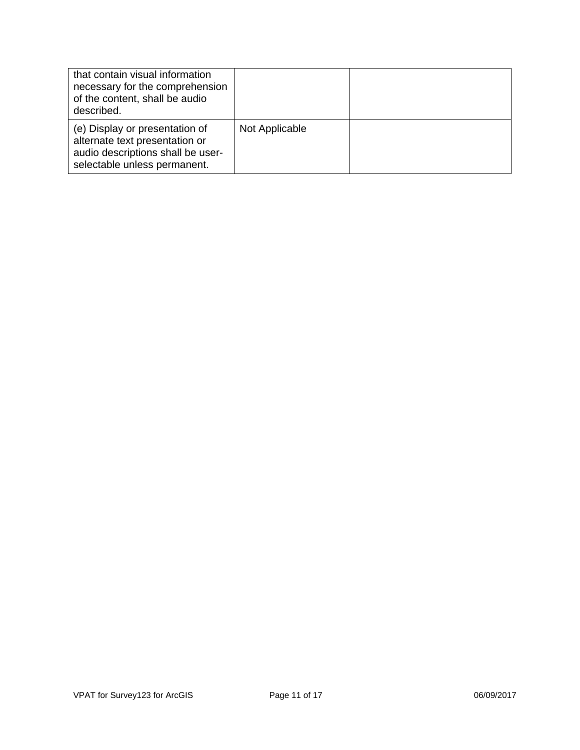| that contain visual information<br>necessary for the comprehension<br>of the content, shall be audio<br>described.                    |                |  |
|---------------------------------------------------------------------------------------------------------------------------------------|----------------|--|
| (e) Display or presentation of<br>alternate text presentation or<br>audio descriptions shall be user-<br>selectable unless permanent. | Not Applicable |  |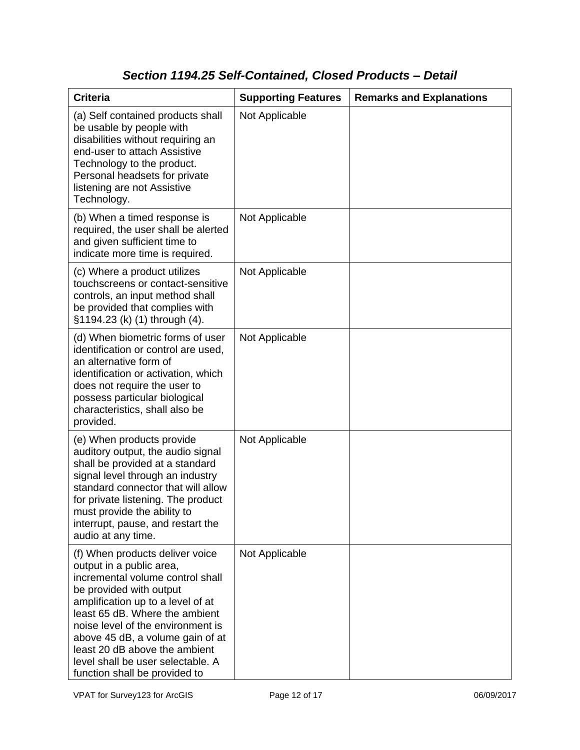# *Section 1194.25 Self-Contained, Closed Products – Detail*

| <b>Criteria</b>                                                                                                                                                                                                                                                                                                                                                                   | <b>Supporting Features</b> | <b>Remarks and Explanations</b> |
|-----------------------------------------------------------------------------------------------------------------------------------------------------------------------------------------------------------------------------------------------------------------------------------------------------------------------------------------------------------------------------------|----------------------------|---------------------------------|
| (a) Self contained products shall<br>be usable by people with<br>disabilities without requiring an<br>end-user to attach Assistive<br>Technology to the product.<br>Personal headsets for private<br>listening are not Assistive<br>Technology.                                                                                                                                   | Not Applicable             |                                 |
| (b) When a timed response is<br>required, the user shall be alerted<br>and given sufficient time to<br>indicate more time is required.                                                                                                                                                                                                                                            | Not Applicable             |                                 |
| (c) Where a product utilizes<br>touchscreens or contact-sensitive<br>controls, an input method shall<br>be provided that complies with<br>§1194.23 (k) (1) through (4).                                                                                                                                                                                                           | Not Applicable             |                                 |
| (d) When biometric forms of user<br>identification or control are used,<br>an alternative form of<br>identification or activation, which<br>does not require the user to<br>possess particular biological<br>characteristics, shall also be<br>provided.                                                                                                                          | Not Applicable             |                                 |
| (e) When products provide<br>auditory output, the audio signal<br>shall be provided at a standard<br>signal level through an industry<br>standard connector that will allow<br>for private listening. The product<br>must provide the ability to<br>interrupt, pause, and restart the<br>audio at any time.                                                                       | Not Applicable             |                                 |
| (f) When products deliver voice<br>output in a public area,<br>incremental volume control shall<br>be provided with output<br>amplification up to a level of at<br>least 65 dB. Where the ambient<br>noise level of the environment is<br>above 45 dB, a volume gain of at<br>least 20 dB above the ambient<br>level shall be user selectable. A<br>function shall be provided to | Not Applicable             |                                 |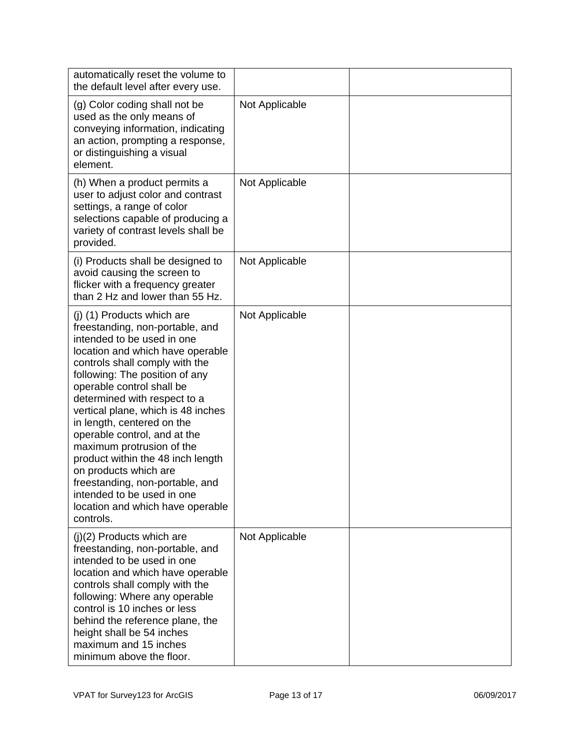| automatically reset the volume to<br>the default level after every use.                                                                                                                                                                                                                                                                                                                                                                                                                                                                                                           |                |  |
|-----------------------------------------------------------------------------------------------------------------------------------------------------------------------------------------------------------------------------------------------------------------------------------------------------------------------------------------------------------------------------------------------------------------------------------------------------------------------------------------------------------------------------------------------------------------------------------|----------------|--|
| (g) Color coding shall not be<br>used as the only means of<br>conveying information, indicating<br>an action, prompting a response,<br>or distinguishing a visual<br>element.                                                                                                                                                                                                                                                                                                                                                                                                     | Not Applicable |  |
| (h) When a product permits a<br>user to adjust color and contrast<br>settings, a range of color<br>selections capable of producing a<br>variety of contrast levels shall be<br>provided.                                                                                                                                                                                                                                                                                                                                                                                          | Not Applicable |  |
| (i) Products shall be designed to<br>avoid causing the screen to<br>flicker with a frequency greater<br>than 2 Hz and lower than 55 Hz.                                                                                                                                                                                                                                                                                                                                                                                                                                           | Not Applicable |  |
| (j) (1) Products which are<br>freestanding, non-portable, and<br>intended to be used in one<br>location and which have operable<br>controls shall comply with the<br>following: The position of any<br>operable control shall be<br>determined with respect to a<br>vertical plane, which is 48 inches<br>in length, centered on the<br>operable control, and at the<br>maximum protrusion of the<br>product within the 48 inch length<br>on products which are<br>freestanding, non-portable, and<br>intended to be used in one<br>location and which have operable<br>controls. | Not Applicable |  |
| $(j)(2)$ Products which are<br>freestanding, non-portable, and<br>intended to be used in one<br>location and which have operable<br>controls shall comply with the<br>following: Where any operable<br>control is 10 inches or less<br>behind the reference plane, the<br>height shall be 54 inches<br>maximum and 15 inches<br>minimum above the floor.                                                                                                                                                                                                                          | Not Applicable |  |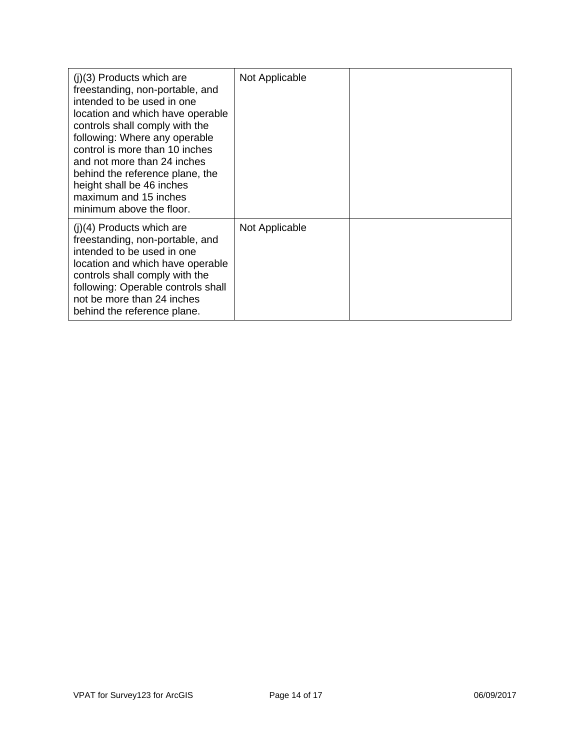| $(i)(3)$ Products which are<br>freestanding, non-portable, and<br>intended to be used in one<br>location and which have operable<br>controls shall comply with the<br>following: Where any operable<br>control is more than 10 inches<br>and not more than 24 inches<br>behind the reference plane, the<br>height shall be 46 inches<br>maximum and 15 inches<br>minimum above the floor. | Not Applicable |  |
|-------------------------------------------------------------------------------------------------------------------------------------------------------------------------------------------------------------------------------------------------------------------------------------------------------------------------------------------------------------------------------------------|----------------|--|
| $(i)(4)$ Products which are<br>freestanding, non-portable, and<br>intended to be used in one<br>location and which have operable<br>controls shall comply with the<br>following: Operable controls shall<br>not be more than 24 inches<br>behind the reference plane.                                                                                                                     | Not Applicable |  |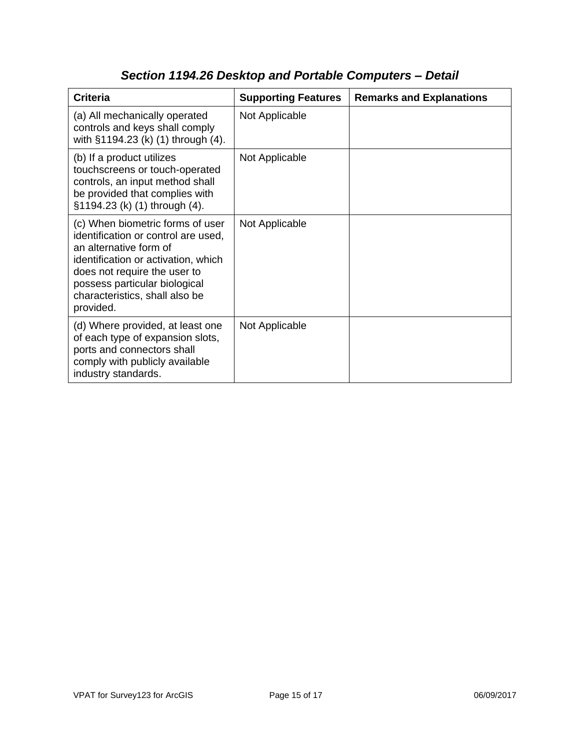| <b>Criteria</b>                                                                                                                                                                                                                                          | <b>Supporting Features</b> | <b>Remarks and Explanations</b> |
|----------------------------------------------------------------------------------------------------------------------------------------------------------------------------------------------------------------------------------------------------------|----------------------------|---------------------------------|
| (a) All mechanically operated<br>controls and keys shall comply<br>with §1194.23 (k) (1) through (4).                                                                                                                                                    | Not Applicable             |                                 |
| (b) If a product utilizes<br>touchscreens or touch-operated<br>controls, an input method shall<br>be provided that complies with<br>§1194.23 (k) (1) through (4).                                                                                        | Not Applicable             |                                 |
| (c) When biometric forms of user<br>identification or control are used,<br>an alternative form of<br>identification or activation, which<br>does not require the user to<br>possess particular biological<br>characteristics, shall also be<br>provided. | Not Applicable             |                                 |
| (d) Where provided, at least one<br>of each type of expansion slots,<br>ports and connectors shall<br>comply with publicly available<br>industry standards.                                                                                              | Not Applicable             |                                 |

# *Section 1194.26 Desktop and Portable Computers – Detail*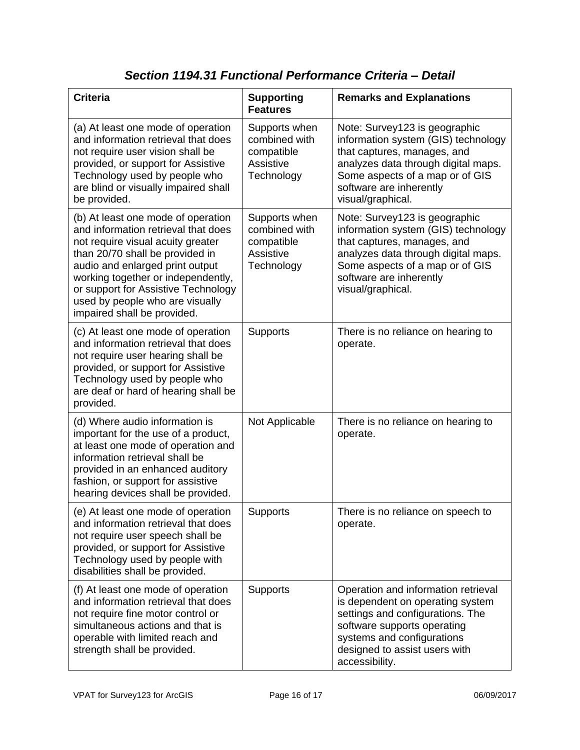#### **Criteria Supporting Features Remarks and Explanations** (a) At least one mode of operation and information retrieval that does not require user vision shall be provided, or support for Assistive Technology used by people who are blind or visually impaired shall be provided. Supports when combined with compatible **Assistive Technology** Note: Survey123 is geographic information system (GIS) technology that captures, manages, and analyzes data through digital maps. Some aspects of a map or of GIS software are inherently visual/graphical. (b) At least one mode of operation and information retrieval that does not require visual acuity greater than 20/70 shall be provided in audio and enlarged print output working together or independently, or support for Assistive Technology used by people who are visually impaired shall be provided. Supports when combined with compatible Assistive **Technology** Note: Survey123 is geographic information system (GIS) technology that captures, manages, and analyzes data through digital maps. Some aspects of a map or of GIS software are inherently visual/graphical. (c) At least one mode of operation and information retrieval that does not require user hearing shall be provided, or support for Assistive Technology used by people who are deaf or hard of hearing shall be provided. Supports **There** is no reliance on hearing to operate. (d) Where audio information is important for the use of a product, at least one mode of operation and information retrieval shall be provided in an enhanced auditory fashion, or support for assistive hearing devices shall be provided. Not Applicable  $\Box$  There is no reliance on hearing to operate. (e) At least one mode of operation and information retrieval that does not require user speech shall be provided, or support for Assistive Technology used by people with disabilities shall be provided. Supports | There is no reliance on speech to operate. (f) At least one mode of operation and information retrieval that does not require fine motor control or simultaneous actions and that is operable with limited reach and strength shall be provided. Supports | Operation and information retrieval is dependent on operating system settings and configurations. The software supports operating systems and configurations designed to assist users with accessibility.

#### *Section 1194.31 Functional Performance Criteria – Detail*